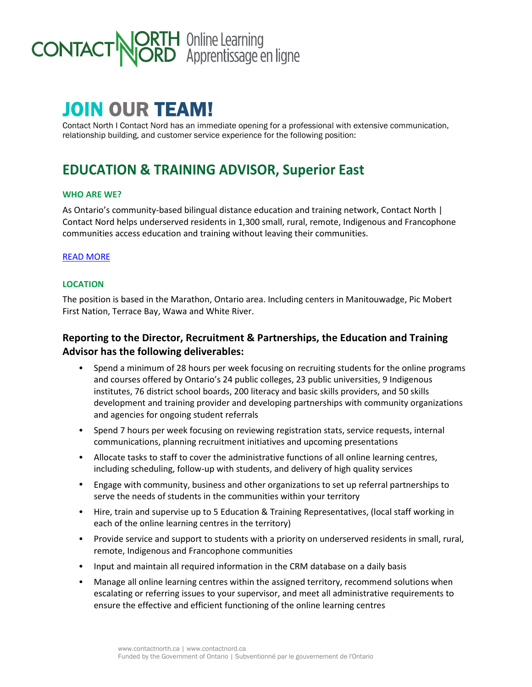

# JOIN OUR TEAM!

Contact North I Contact Nord has an immediate opening for a professional with extensive communication, relationship building, and customer service experience for the following position:

# **EDUCATION & TRAINING ADVISOR, Superior East**

#### **WHO ARE WE?**

As Ontario's community-based bilingual distance education and training network, Contact North | Contact Nord helps underserved residents in 1,300 small, rural, remote, Indigenous and Francophone communities access education and training without leaving their communities.

#### READ MORE

#### **LOCATION**

The position is based in the Marathon, Ontario area. Including centers in Manitouwadge, Pic Mobert First Nation, Terrace Bay, Wawa and White River.

# **Reporting to the Director, Recruitment & Partnerships, the Education and Training Advisor has the following deliverables:**

- Spend a minimum of 28 hours per week focusing on recruiting students for the online programs and courses offered by Ontario's 24 public colleges, 23 public universities, 9 Indigenous institutes, 76 district school boards, 200 literacy and basic skills providers, and 50 skills development and training provider and developing partnerships with community organizations and agencies for ongoing student referrals
- Spend 7 hours per week focusing on reviewing registration stats, service requests, internal communications, planning recruitment initiatives and upcoming presentations
- Allocate tasks to staff to cover the administrative functions of all online learning centres, including scheduling, follow-up with students, and delivery of high quality services
- Engage with community, business and other organizations to set up referral partnerships to serve the needs of students in the communities within your territory
- Hire, train and supervise up to 5 Education & Training Representatives, (local staff working in each of the online learning centres in the territory)
- Provide service and support to students with a priority on underserved residents in small, rural, remote, Indigenous and Francophone communities
- Input and maintain all required information in the CRM database on a daily basis
- Manage all online learning centres within the assigned territory, recommend solutions when escalating or referring issues to your supervisor, and meet all administrative requirements to ensure the effective and efficient functioning of the online learning centres